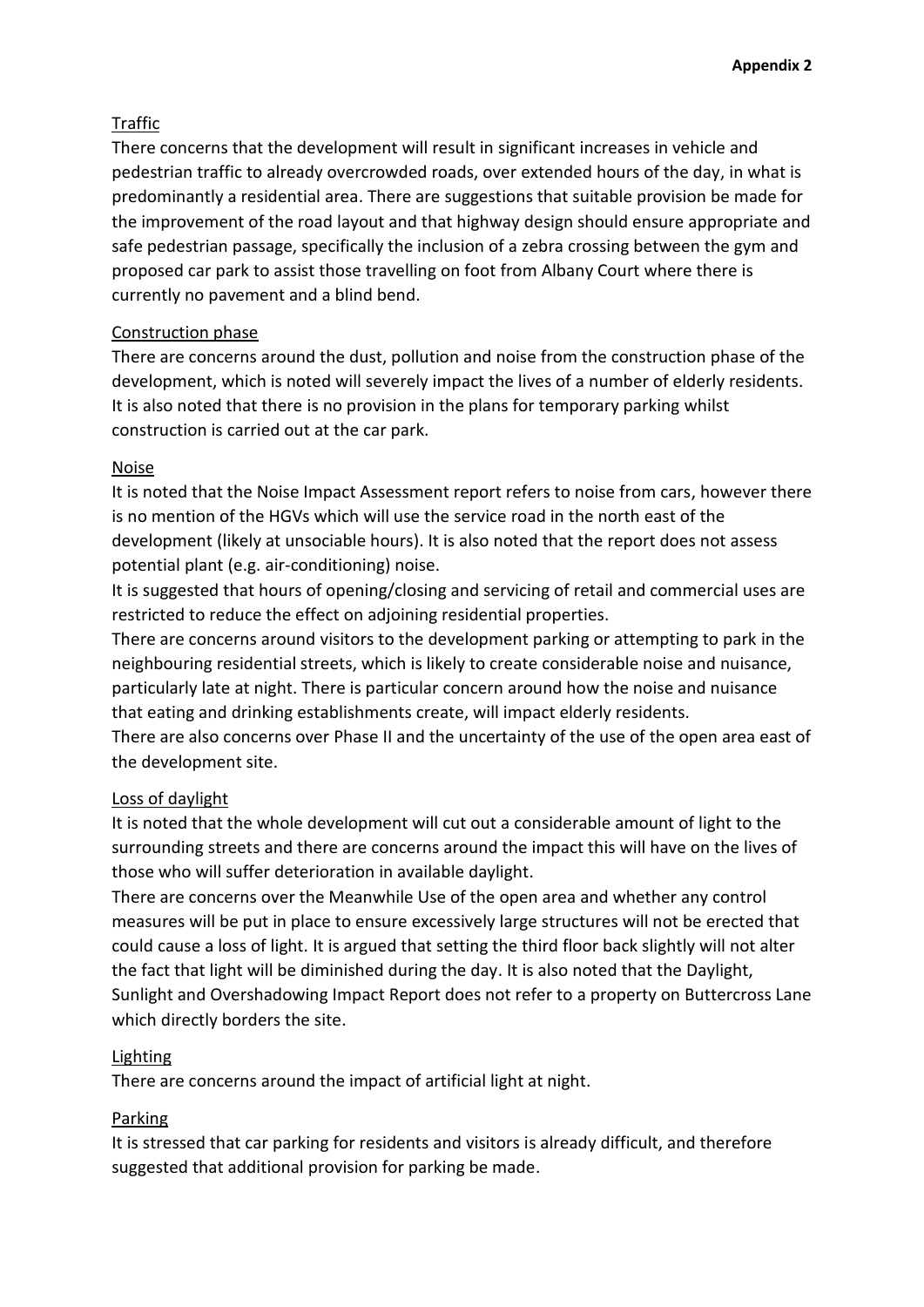# Traffic

There concerns that the development will result in significant increases in vehicle and pedestrian traffic to already overcrowded roads, over extended hours of the day, in what is predominantly a residential area. There are suggestions that suitable provision be made for the improvement of the road layout and that highway design should ensure appropriate and safe pedestrian passage, specifically the inclusion of a zebra crossing between the gym and proposed car park to assist those travelling on foot from Albany Court where there is currently no pavement and a blind bend.

# Construction phase

There are concerns around the dust, pollution and noise from the construction phase of the development, which is noted will severely impact the lives of a number of elderly residents. It is also noted that there is no provision in the plans for temporary parking whilst construction is carried out at the car park.

# Noise

It is noted that the Noise Impact Assessment report refers to noise from cars, however there is no mention of the HGVs which will use the service road in the north east of the development (likely at unsociable hours). It is also noted that the report does not assess potential plant (e.g. air-conditioning) noise.

It is suggested that hours of opening/closing and servicing of retail and commercial uses are restricted to reduce the effect on adjoining residential properties.

There are concerns around visitors to the development parking or attempting to park in the neighbouring residential streets, which is likely to create considerable noise and nuisance, particularly late at night. There is particular concern around how the noise and nuisance that eating and drinking establishments create, will impact elderly residents.

There are also concerns over Phase II and the uncertainty of the use of the open area east of the development site.

# Loss of daylight

It is noted that the whole development will cut out a considerable amount of light to the surrounding streets and there are concerns around the impact this will have on the lives of those who will suffer deterioration in available daylight.

There are concerns over the Meanwhile Use of the open area and whether any control measures will be put in place to ensure excessively large structures will not be erected that could cause a loss of light. It is argued that setting the third floor back slightly will not alter the fact that light will be diminished during the day. It is also noted that the Daylight, Sunlight and Overshadowing Impact Report does not refer to a property on Buttercross Lane which directly borders the site.

# Lighting

There are concerns around the impact of artificial light at night.

## Parking

It is stressed that car parking for residents and visitors is already difficult, and therefore suggested that additional provision for parking be made.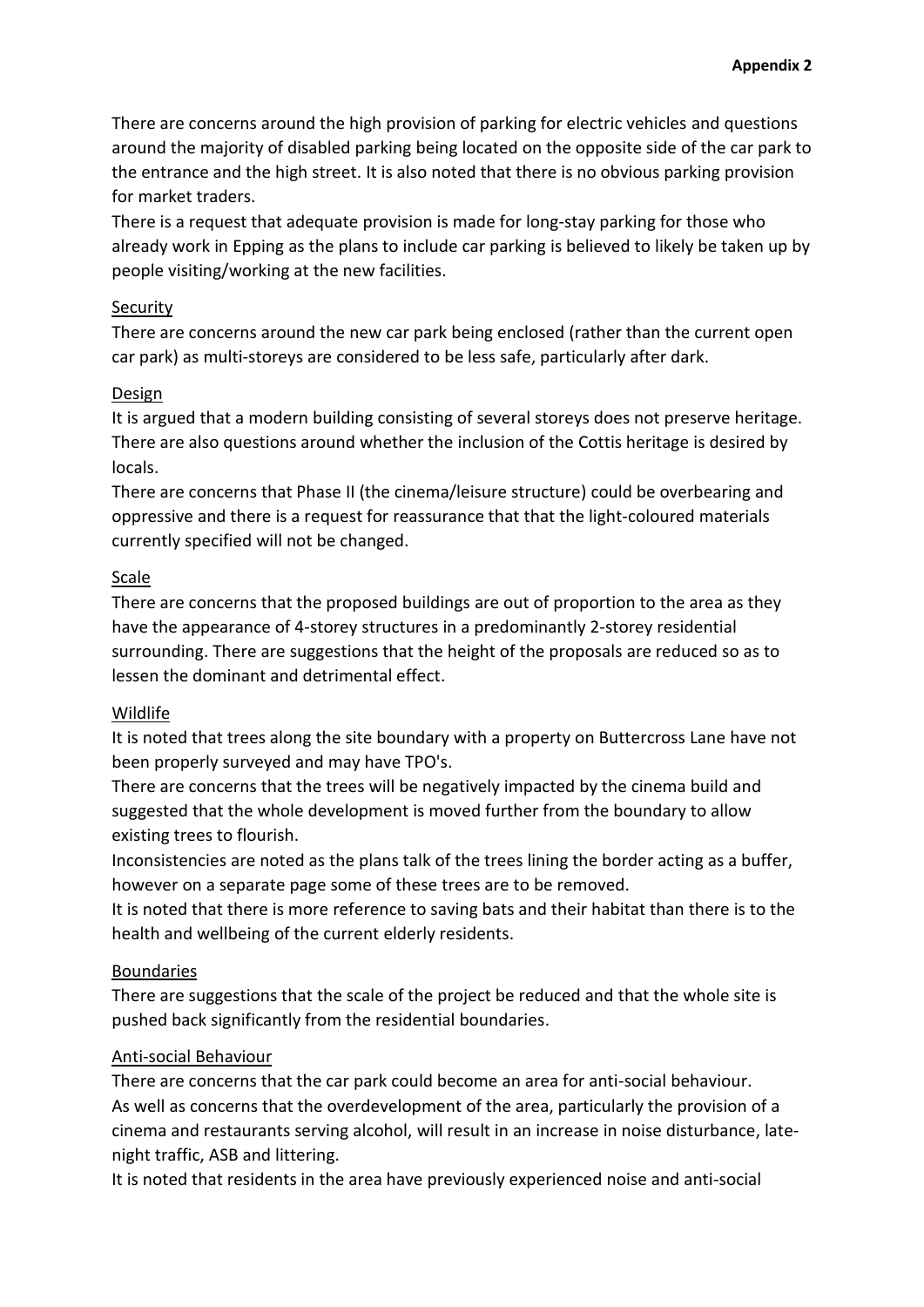There are concerns around the high provision of parking for electric vehicles and questions around the majority of disabled parking being located on the opposite side of the car park to the entrance and the high street. It is also noted that there is no obvious parking provision for market traders.

There is a request that adequate provision is made for long-stay parking for those who already work in Epping as the plans to include car parking is believed to likely be taken up by people visiting/working at the new facilities.

### Security

There are concerns around the new car park being enclosed (rather than the current open car park) as multi-storeys are considered to be less safe, particularly after dark.

### Design

It is argued that a modern building consisting of several storeys does not preserve heritage. There are also questions around whether the inclusion of the Cottis heritage is desired by locals.

There are concerns that Phase II (the cinema/leisure structure) could be overbearing and oppressive and there is a request for reassurance that that the light-coloured materials currently specified will not be changed.

## Scale

There are concerns that the proposed buildings are out of proportion to the area as they have the appearance of 4-storey structures in a predominantly 2-storey residential surrounding. There are suggestions that the height of the proposals are reduced so as to lessen the dominant and detrimental effect.

## Wildlife

It is noted that trees along the site boundary with a property on Buttercross Lane have not been properly surveyed and may have TPO's.

There are concerns that the trees will be negatively impacted by the cinema build and suggested that the whole development is moved further from the boundary to allow existing trees to flourish.

Inconsistencies are noted as the plans talk of the trees lining the border acting as a buffer, however on a separate page some of these trees are to be removed.

It is noted that there is more reference to saving bats and their habitat than there is to the health and wellbeing of the current elderly residents.

## Boundaries

There are suggestions that the scale of the project be reduced and that the whole site is pushed back significantly from the residential boundaries.

## Anti-social Behaviour

There are concerns that the car park could become an area for anti-social behaviour. As well as concerns that the overdevelopment of the area, particularly the provision of a cinema and restaurants serving alcohol, will result in an increase in noise disturbance, latenight traffic, ASB and littering.

It is noted that residents in the area have previously experienced noise and anti-social